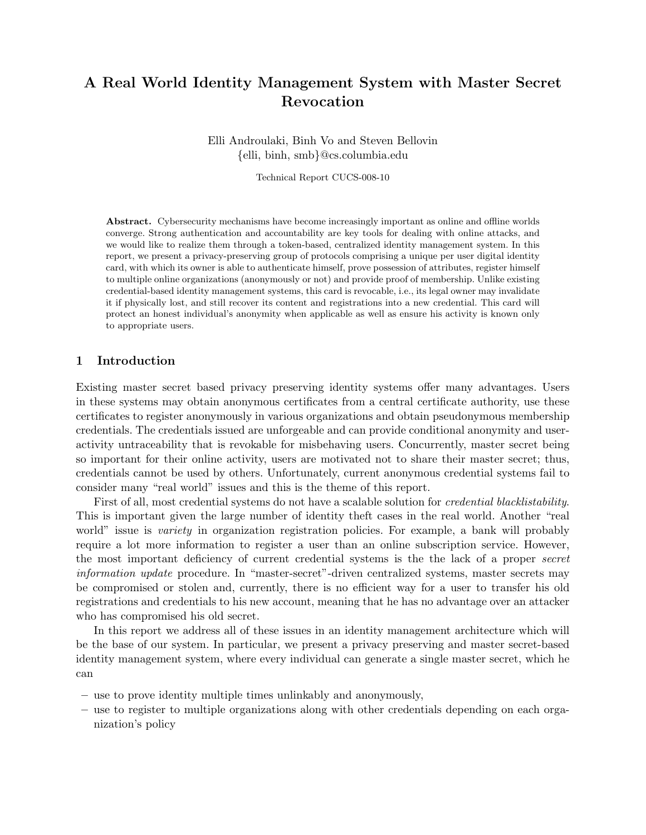# A Real World Identity Management System with Master Secret Revocation

Elli Androulaki, Binh Vo and Steven Bellovin {elli, binh, smb}@cs.columbia.edu

Technical Report CUCS-008-10

Abstract. Cybersecurity mechanisms have become increasingly important as online and offline worlds converge. Strong authentication and accountability are key tools for dealing with online attacks, and we would like to realize them through a token-based, centralized identity management system. In this report, we present a privacy-preserving group of protocols comprising a unique per user digital identity card, with which its owner is able to authenticate himself, prove possession of attributes, register himself to multiple online organizations (anonymously or not) and provide proof of membership. Unlike existing credential-based identity management systems, this card is revocable, i.e., its legal owner may invalidate it if physically lost, and still recover its content and registrations into a new credential. This card will protect an honest individual's anonymity when applicable as well as ensure his activity is known only to appropriate users.

# 1 Introduction

Existing master secret based privacy preserving identity systems offer many advantages. Users in these systems may obtain anonymous certificates from a central certificate authority, use these certificates to register anonymously in various organizations and obtain pseudonymous membership credentials. The credentials issued are unforgeable and can provide conditional anonymity and useractivity untraceability that is revokable for misbehaving users. Concurrently, master secret being so important for their online activity, users are motivated not to share their master secret; thus, credentials cannot be used by others. Unfortunately, current anonymous credential systems fail to consider many "real world" issues and this is the theme of this report.

First of all, most credential systems do not have a scalable solution for *credential blacklistability*. This is important given the large number of identity theft cases in the real world. Another "real world" issue is *variety* in organization registration policies. For example, a bank will probably require a lot more information to register a user than an online subscription service. However, the most important deficiency of current credential systems is the the lack of a proper secret information update procedure. In "master-secret"-driven centralized systems, master secrets may be compromised or stolen and, currently, there is no efficient way for a user to transfer his old registrations and credentials to his new account, meaning that he has no advantage over an attacker who has compromised his old secret.

In this report we address all of these issues in an identity management architecture which will be the base of our system. In particular, we present a privacy preserving and master secret-based identity management system, where every individual can generate a single master secret, which he can

- use to prove identity multiple times unlinkably and anonymously,
- use to register to multiple organizations along with other credentials depending on each organization's policy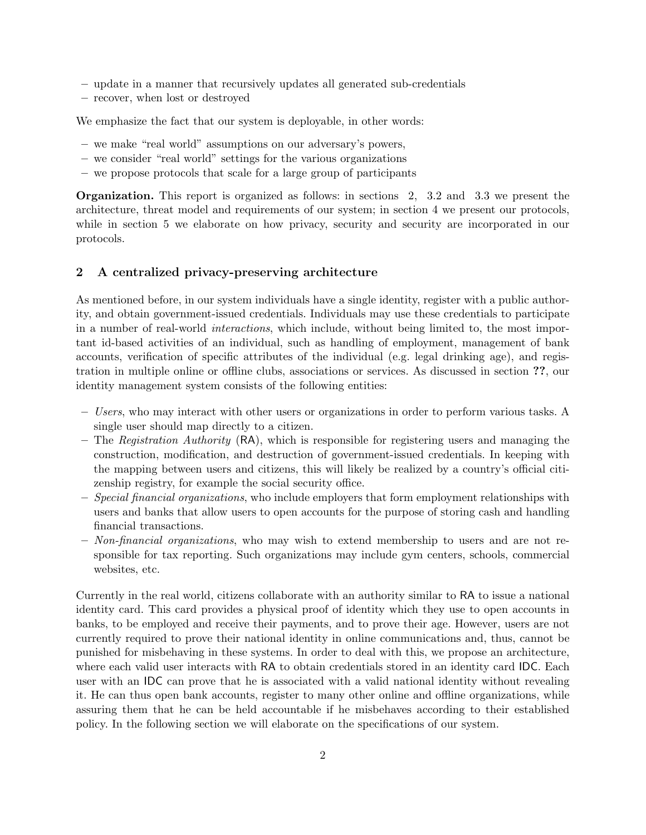- update in a manner that recursively updates all generated sub-credentials
- recover, when lost or destroyed

We emphasize the fact that our system is deployable, in other words:

- we make "real world" assumptions on our adversary's powers,
- we consider "real world" settings for the various organizations
- we propose protocols that scale for a large group of participants

Organization. This report is organized as follows: in sections 2, 3.2 and 3.3 we present the architecture, threat model and requirements of our system; in section 4 we present our protocols, while in section 5 we elaborate on how privacy, security and security are incorporated in our protocols.

# 2 A centralized privacy-preserving architecture

As mentioned before, in our system individuals have a single identity, register with a public authority, and obtain government-issued credentials. Individuals may use these credentials to participate in a number of real-world interactions, which include, without being limited to, the most important id-based activities of an individual, such as handling of employment, management of bank accounts, verification of specific attributes of the individual (e.g. legal drinking age), and registration in multiple online or offline clubs, associations or services. As discussed in section ??, our identity management system consists of the following entities:

- Users, who may interact with other users or organizations in order to perform various tasks. A single user should map directly to a citizen.
- The Registration Authority  $(RA)$ , which is responsible for registering users and managing the construction, modification, and destruction of government-issued credentials. In keeping with the mapping between users and citizens, this will likely be realized by a country's official citizenship registry, for example the social security office.
- $-$  Special financial organizations, who include employers that form employment relationships with users and banks that allow users to open accounts for the purpose of storing cash and handling financial transactions.
- $-$  Non-financial organizations, who may wish to extend membership to users and are not responsible for tax reporting. Such organizations may include gym centers, schools, commercial websites, etc.

Currently in the real world, citizens collaborate with an authority similar to RA to issue a national identity card. This card provides a physical proof of identity which they use to open accounts in banks, to be employed and receive their payments, and to prove their age. However, users are not currently required to prove their national identity in online communications and, thus, cannot be punished for misbehaving in these systems. In order to deal with this, we propose an architecture, where each valid user interacts with RA to obtain credentials stored in an identity card IDC. Each user with an IDC can prove that he is associated with a valid national identity without revealing it. He can thus open bank accounts, register to many other online and offline organizations, while assuring them that he can be held accountable if he misbehaves according to their established policy. In the following section we will elaborate on the specifications of our system.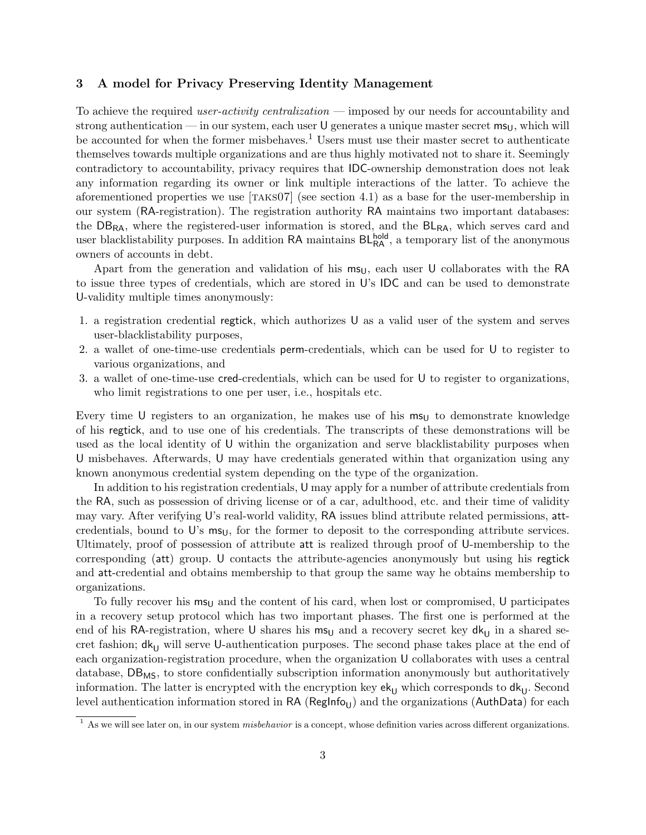# 3 A model for Privacy Preserving Identity Management

To achieve the required user-activity centralization — imposed by our needs for accountability and strong authentication — in our system, each user U generates a unique master secret  $ms<sub>U</sub>$ , which will be accounted for when the former misbehaves.<sup>1</sup> Users must use their master secret to authenticate themselves towards multiple organizations and are thus highly motivated not to share it. Seemingly contradictory to accountability, privacy requires that IDC-ownership demonstration does not leak any information regarding its owner or link multiple interactions of the latter. To achieve the aforementioned properties we use [taks07] (see section 4.1) as a base for the user-membership in our system (RA-registration). The registration authority RA maintains two important databases: the  $DB_{RA}$ , where the registered-user information is stored, and the  $BL_{RA}$ , which serves card and user blacklistability purposes. In addition RA maintains  $BL_{RA}^{hold}$ , a temporary list of the anonymous owners of accounts in debt.

Apart from the generation and validation of his  $m_{\text{U}}$ , each user U collaborates with the RA to issue three types of credentials, which are stored in U's IDC and can be used to demonstrate U-validity multiple times anonymously:

- 1. a registration credential regtick, which authorizes U as a valid user of the system and serves user-blacklistability purposes,
- 2. a wallet of one-time-use credentials perm-credentials, which can be used for U to register to various organizations, and
- 3. a wallet of one-time-use cred-credentials, which can be used for U to register to organizations, who limit registrations to one per user, i.e., hospitals etc.

Every time U registers to an organization, he makes use of his  $m_{\text{SI}}$  to demonstrate knowledge of his regtick, and to use one of his credentials. The transcripts of these demonstrations will be used as the local identity of U within the organization and serve blacklistability purposes when U misbehaves. Afterwards, U may have credentials generated within that organization using any known anonymous credential system depending on the type of the organization.

In addition to his registration credentials, U may apply for a number of attribute credentials from the RA, such as possession of driving license or of a car, adulthood, etc. and their time of validity may vary. After verifying U's real-world validity, RA issues blind attribute related permissions, attcredentials, bound to U's  $ms<sub>U</sub>$ , for the former to deposit to the corresponding attribute services. Ultimately, proof of possession of attribute att is realized through proof of U-membership to the corresponding (att) group. U contacts the attribute-agencies anonymously but using his regtick and att-credential and obtains membership to that group the same way he obtains membership to organizations.

To fully recover his  $ms<sub>U</sub>$  and the content of his card, when lost or compromised, U participates in a recovery setup protocol which has two important phases. The first one is performed at the end of his RA-registration, where U shares his ms<sub>U</sub> and a recovery secret key  $dk_{U}$  in a shared secret fashion;  $d_{U}$  will serve U-authentication purposes. The second phase takes place at the end of each organization-registration procedure, when the organization U collaborates with uses a central database,  $DB_{MS}$ , to store confidentially subscription information anonymously but authoritatively information. The latter is encrypted with the encryption key  $ek_U$  which corresponds to  $dk_U$ . Second level authentication information stored in  $RA$  ( $RegInfo_{11}$ ) and the organizations (AuthData) for each

 $1$  As we will see later on, in our system *misbehavior* is a concept, whose definition varies across different organizations.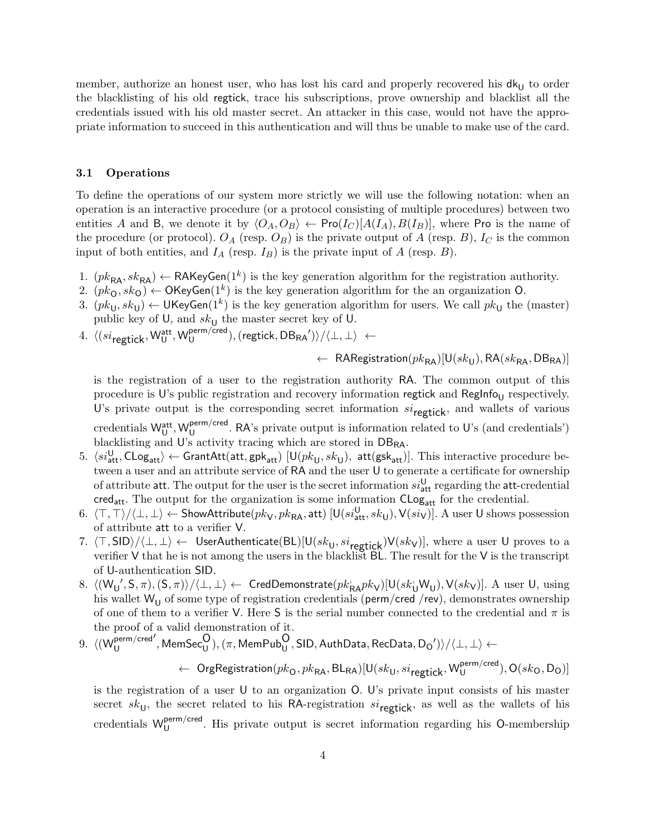member, authorize an honest user, who has lost his card and properly recovered his  $dk_{\rm U}$  to order the blacklisting of his old regtick, trace his subscriptions, prove ownership and blacklist all the credentials issued with his old master secret. An attacker in this case, would not have the appropriate information to succeed in this authentication and will thus be unable to make use of the card.

## 3.1 Operations

To define the operations of our system more strictly we will use the following notation: when an operation is an interactive procedure (or a protocol consisting of multiple procedures) between two entities A and B, we denote it by  $\langle O_A, O_B \rangle \leftarrow \text{Pro}(I_C)[A(I_A), B(I_B)]$ , where Pro is the name of the procedure (or protocol).  $O_A$  (resp.  $O_B$ ) is the private output of A (resp. B),  $I_C$  is the common input of both entities, and  $I_A$  (resp.  $I_B$ ) is the private input of A (resp. B).

- 1.  $(pk_{RA}, sk_{RA}) \leftarrow \textsf{RAKeyGen}(1^k)$  is the key generation algorithm for the registration authority.
- 2.  $(pk_0, sk_0) \leftarrow \mathsf{OKeyGen}(1^k)$  is the key generation algorithm for the an organization O.
- 3.  $(pk_U, sk_U) \leftarrow \mathsf{UKeyGen}(1^k)$  is the key generation algorithm for users. We call  $pk_U$  the (master) public key of U, and  $sk_{\mathsf{U}}$  the master secret key of U.
- 4.  $\langle (si_{\text{regtick}}, \mathsf{W}_{\text{U}}^{\text{att}}, \mathsf{W}_{\text{U}}^{\text{perm/cred}})$  $\bigcup_{\mathsf{U}}^{\mathsf{perm/cred}}$ ), (regtick,  $\mathsf{DBRA}'$ ) $\rangle/\langle\bot,\bot\rangle$  ←

 $\leftarrow$  RARegistration $(pk_{RA})$ [U( $sk_{U}$ ), RA( $sk_{RA}$ , DB<sub>RA</sub>)]

is the registration of a user to the registration authority RA. The common output of this procedure is U's public registration and recovery information regtick and  $RegInfo<sub>U</sub>$  respectively. U's private output is the corresponding secret information  $si_{\text{regtick}}$ , and wallets of various credentials Watt, W<mark>u<sup>perm/cred</sup></mark>  $U$ <sup>berm/cred</sup>. RA's private output is information related to U's (and credentials') blacklisting and U's activity tracing which are stored in DBRA.

- 5.  $\langle si_{\rm att}^{\sf U}, \mathsf{CLog}_{\sf att}\rangle \leftarrow \mathsf{GrantAtt}(\mathsf{att}, \mathsf{gpk}_{\sf att})$   $[{\sf U}(pk_{\sf U}, sk_{\sf U}),$   $\mathsf{att}(\mathsf{gsk}_{\sf att})]$ . This interactive procedure between a user and an attribute service of RA and the user U to generate a certificate for ownership of attribute att. The output for the user is the secret information  $si_{\text{att}}^{\text{U}}$  regarding the att-credential  $\mathsf{cred}_{\mathsf{att}}$ . The output for the organization is some information  $\mathsf{CLog}_{\mathsf{att}}$  for the credential.
- 6.  $\langle \top, \top \rangle / \langle \bot, \bot \rangle \leftarrow$  ShowAttribute $(pk_{\mathsf{V}}, p k_{\mathsf{RA}}, \mathsf{att})$   $[\mathsf{U}(si_{\mathsf{att}}^{\mathsf{U}}, sk_{\mathsf{U}}), \mathsf{V}(si_{\mathsf{V}})]$ . A user  $\mathsf{U}$  shows possession of attribute att to a verifier V.
- 7.  $\langle T, \mathsf{SID}\rangle/\langle\bot, \bot\rangle$  ← UserAuthenticate(BL)[U(sk<sub>U</sub>, si<sub>regtick</sub>)V(sk<sub>V</sub>)], where a user U proves to a verifier V that he is not among the users in the blacklist BL. The result for the V is the transcript of U-authentication SID.
- 8.  $\langle (W_U', S, \pi), (S, \pi) \rangle / \langle \bot, \bot \rangle \leftarrow \text{ CredDemonstrate}(pk_{\mathsf{RA}}pk_{\mathsf{V}})[\mathsf{U}(sk_{\mathsf{U}} \mathsf{W}_{\mathsf{U}}), \mathsf{V}(sk_{\mathsf{V}})].$  A user  $\mathsf{U}, \text{ using }$ his wallet  $\mathsf{W}_{\mathsf{U}}$  of some type of registration credentials (perm/cred /rev), demonstrates ownership of one of them to a verifier V. Here S is the serial number connected to the credential and  $\pi$  is the proof of a valid demonstration of it.
- $9. \ \langle (W_{11}^{\text{perm/cred}})$ U  $\mathcal{O}',\mathsf{MemSec}_\mathsf{U}^\mathsf{O}),(\pi,\mathsf{MemPub}_\mathsf{U}^\mathsf{O},\mathsf{SID},\mathsf{AuthData},\mathsf{RecData},\mathsf{Do}')\rangle/\langle{\perp,\perp}\rangle \leftarrow 0$

 $\leftarrow \;\;{\sf Organ}({\sf p}$  org ${\sf Region}(pk_{\mathsf{O}},pk_{\mathsf{RA}},\mathsf{BL}_{\mathsf{RA}})$   $[{\sf U}(sk_{\mathsf{U}},si_{\mathsf{regtick}}, {\sf W}^{\sf perm/cred}_{\mathsf{U}})]$  $\mathsf{U}^{(\mathsf{perm})}$   $\mathsf{C}(sk_{\mathsf{O}},\mathsf{D}_{\mathsf{O}})$ 

is the registration of a user U to an organization O. U's private input consists of his master secret sk<sub>U</sub>, the secret related to his RA-registration si<sub>regtic</sub> as well as the wallets of his credentials W<sub>11</sub> perm/crea. His private output is secret information regarding his O-membership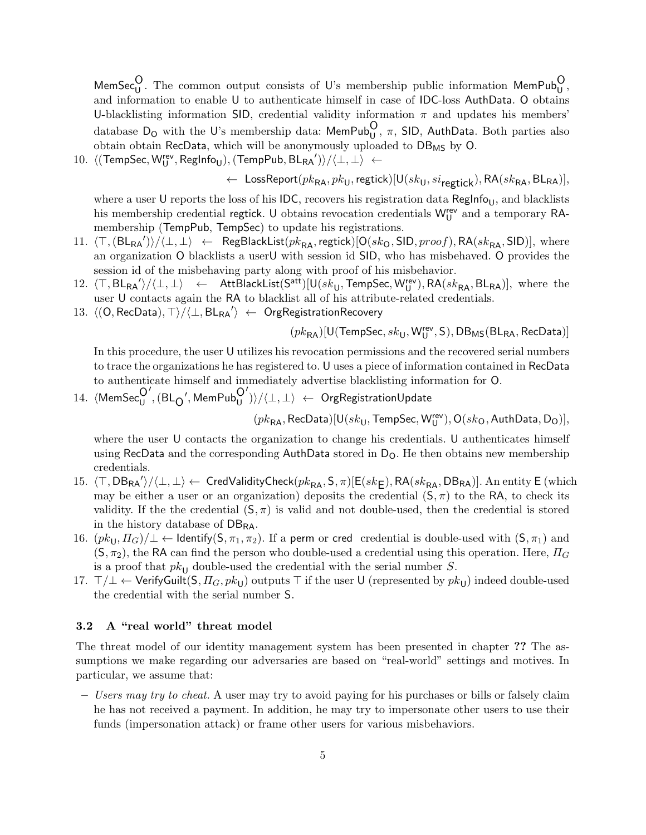MemSec $_{\text{U}}^{\text{O}}$ . The common output consists of U's membership public information MemPub $_{\text{U}}^{\text{O}}$ , and information to enable U to authenticate himself in case of IDC-loss AuthData. O obtains U-blacklisting information SID, credential validity information  $\pi$  and updates his members' database D<sub>O</sub> with the U's membership data: MemPub<sub>U</sub>,  $\pi$ , SID, AuthData. Both parties also obtain obtain RecData, which will be anonymously uploaded to  $DB_{MS}$  by  $O$ .

 $10. \ \ \langle (\mathsf{TempSec}, \mathsf{W}_{\mathsf{U}}^{\mathsf{rev}}, \mathsf{RegInfo}_{\mathsf{U}}), (\mathsf{TempPub}, \mathsf{BL}_{\mathsf{RA}}') \rangle / \langle \bot, \bot \rangle \ \gets$ 

← LossReport $(pk_{RA}, pk_U,$ regtick)[U( $sk_U, si_{\text{reotic}}$ ), RA( $sk_{RA}, BL_{RA}$ )],

where a user U reports the loss of his IDC, recovers his registration data RegInfo<sub>U</sub>, and blacklists his membership credential regtick. U obtains revocation credentials  $W_U^{\text{rev}}$  and a temporary RAmembership (TempPub, TempSec) to update his registrations.

- 11.  $\langle \top,(\texttt{BL_{RA}}') \rangle / \langle \bot, \bot \rangle$  ← RegBlackList $(\overline{pk_{RA}},$ regtick) $[\mathsf{O}(sk_{\mathsf{O}},\textsf{SID}, \textit{proof}), \mathsf{RA}(sk_{\mathsf{RA}},\textsf{SID})],$  where an organization O blacklists a userU with session id SID, who has misbehaved. O provides the session id of the misbehaving party along with proof of his misbehavior.
- 12.  $\langle \top, BL_{RA'} \rangle / \langle \bot, \bot \rangle$   $\leftarrow$  AttBlackList(S<sup>att</sup>)[U(sk<sub>U</sub>, TempSec, W<sub>U</sub><sup>rev</sup>), RA(sk<sub>RA</sub>, BL<sub>RA</sub>)], where the user U contacts again the RA to blacklist all of his attribute-related credentials.
- 13.  $\langle (\mathsf{O}, \mathsf{RecData}), \top \rangle / \langle \bot, \mathsf{BL}_\mathsf{RA'} \rangle$  ← OrgRegistrationRecovery

 $(\mathit{pk}_{\mathsf{RA}}) [\mathsf{U}(\mathsf{TempSec},\mathit{sk}_{\mathsf{U}},\mathsf{W}^{\mathsf{rev}}_{\mathsf{U}},\mathsf{S}),\mathsf{DB}_{\mathsf{MS}}(\mathsf{BL}_{\mathsf{RA}},\mathsf{RecData})]$ 

In this procedure, the user U utilizes his revocation permissions and the recovered serial numbers to trace the organizations he has registered to. U uses a piece of information contained in RecData to authenticate himself and immediately advertise blacklisting information for O.

14.  $\langle$ MemSec $_{U}^{\text{O}}$  $\mathrm{^{^{\prime }},(BL_{O}}^{\prime }, \mathsf{MemPub}_{U}^{O}%$  $\langle \rangle \rangle / \langle \bot, \bot \rangle \ \leftarrow \ \mathsf{OrgRegistributionUpdate}$ 

 $(\mathit{pk}_{\mathsf{RA}},\mathsf{RecData})[\mathsf{U}(\mathit{sk}_{\mathsf{U}},\mathsf{TempSec},\mathsf{W}^{\mathsf{rev}}_{\mathsf{U}}),\mathsf{O}(\mathit{sk}_\mathsf{O},\mathsf{AuthData},\mathsf{D}_\mathsf{O})],$ 

where the user U contacts the organization to change his credentials. U authenticates himself using RecData and the corresponding AuthData stored in  $D<sub>O</sub>$ . He then obtains new membership credentials.

- 15.  $\langle \top, \mathsf{DB}_{\mathsf{RA}}'\rangle/\langle \bot, \bot \rangle \leftarrow \mathsf{CredValidityCheck}(pk_{\mathsf{RA}}, \mathsf{S}, \pi)[\mathsf{E}(sk_\mathsf{E}), \mathsf{RA}(sk_{\mathsf{RA}}, \mathsf{DB}_{\mathsf{RA}})].$  An entity  $\mathsf{E}$  (which may be either a user or an organization) deposits the credential  $(S, \pi)$  to the RA, to check its validity. If the the credential  $(S, \pi)$  is valid and not double-used, then the credential is stored in the history database of  $DB_{RA}$ .
- 16.  $(pk_{U}, \Pi_{G})/\perp \leftarrow$  Identify(S,  $\pi_1, \pi_2$ ). If a perm or cred credential is double-used with (S,  $\pi_1$ ) and  $(S, \pi_2)$ , the RA can find the person who double-used a credential using this operation. Here,  $\Pi_G$ is a proof that  $pk_{\text{U}}$  double-used the credential with the serial number S.
- 17.  $\top/\bot \leftarrow$  VerifyGuilt(S,  $\Pi_G, pk_U$ ) outputs  $\top$  if the user U (represented by  $pk_U$ ) indeed double-used the credential with the serial number S.

### 3.2 A "real world" threat model

The threat model of our identity management system has been presented in chapter ?? The assumptions we make regarding our adversaries are based on "real-world" settings and motives. In particular, we assume that:

– Users may try to cheat. A user may try to avoid paying for his purchases or bills or falsely claim he has not received a payment. In addition, he may try to impersonate other users to use their funds (impersonation attack) or frame other users for various misbehaviors.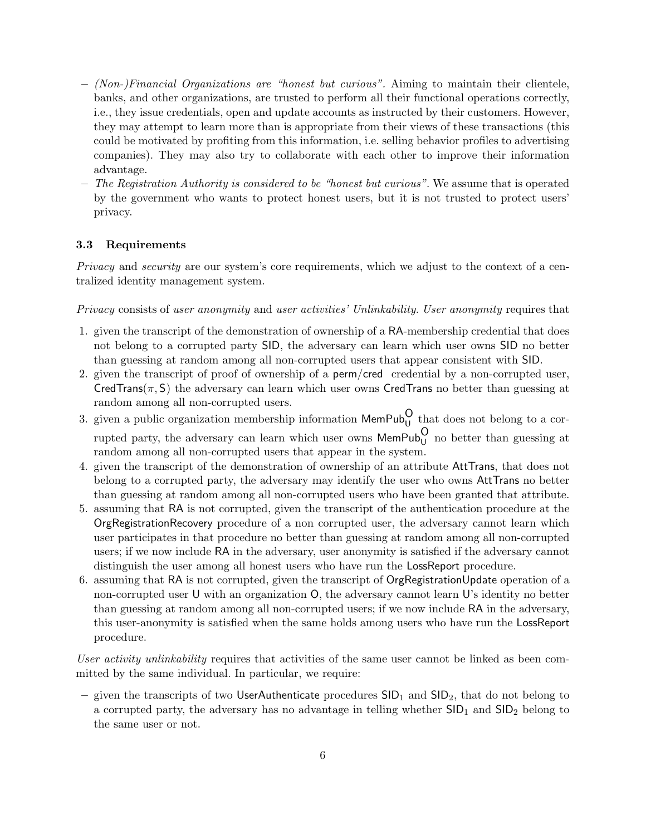- $-$  (Non-)Financial Organizations are "honest but curious". Aiming to maintain their clientele, banks, and other organizations, are trusted to perform all their functional operations correctly, i.e., they issue credentials, open and update accounts as instructed by their customers. However, they may attempt to learn more than is appropriate from their views of these transactions (this could be motivated by profiting from this information, i.e. selling behavior profiles to advertising companies). They may also try to collaborate with each other to improve their information advantage.
- The Registration Authority is considered to be "honest but curious". We assume that is operated by the government who wants to protect honest users, but it is not trusted to protect users' privacy.

# 3.3 Requirements

Privacy and *security* are our system's core requirements, which we adjust to the context of a centralized identity management system.

Privacy consists of user anonymity and user activities' Unlinkability. User anonymity requires that

- 1. given the transcript of the demonstration of ownership of a RA-membership credential that does not belong to a corrupted party SID, the adversary can learn which user owns SID no better than guessing at random among all non-corrupted users that appear consistent with SID.
- 2. given the transcript of proof of ownership of a perm/cred credential by a non-corrupted user, CredTrans( $\pi$ , S) the adversary can learn which user owns CredTrans no better than guessing at random among all non-corrupted users.
- 3. given a public organization membership information  $M$ emPub<sub>U</sub> that does not belong to a corrupted party, the adversary can learn which user owns  $\mathsf{MemPub}^O_U$  no better than guessing at random among all non-corrupted users that appear in the system.
- 4. given the transcript of the demonstration of ownership of an attribute AttTrans, that does not belong to a corrupted party, the adversary may identify the user who owns AttTrans no better than guessing at random among all non-corrupted users who have been granted that attribute.
- 5. assuming that RA is not corrupted, given the transcript of the authentication procedure at the OrgRegistrationRecovery procedure of a non corrupted user, the adversary cannot learn which user participates in that procedure no better than guessing at random among all non-corrupted users; if we now include RA in the adversary, user anonymity is satisfied if the adversary cannot distinguish the user among all honest users who have run the LossReport procedure.
- 6. assuming that RA is not corrupted, given the transcript of OrgRegistrationUpdate operation of a non-corrupted user U with an organization O, the adversary cannot learn U's identity no better than guessing at random among all non-corrupted users; if we now include RA in the adversary, this user-anonymity is satisfied when the same holds among users who have run the LossReport procedure.

User activity unlinkability requires that activities of the same user cannot be linked as been committed by the same individual. In particular, we require:

– given the transcripts of two UserAuthenticate procedures  $\text{SID}_1$  and  $\text{SID}_2$ , that do not belong to a corrupted party, the adversary has no advantage in telling whether  $\text{SID}_1$  and  $\text{SID}_2$  belong to the same user or not.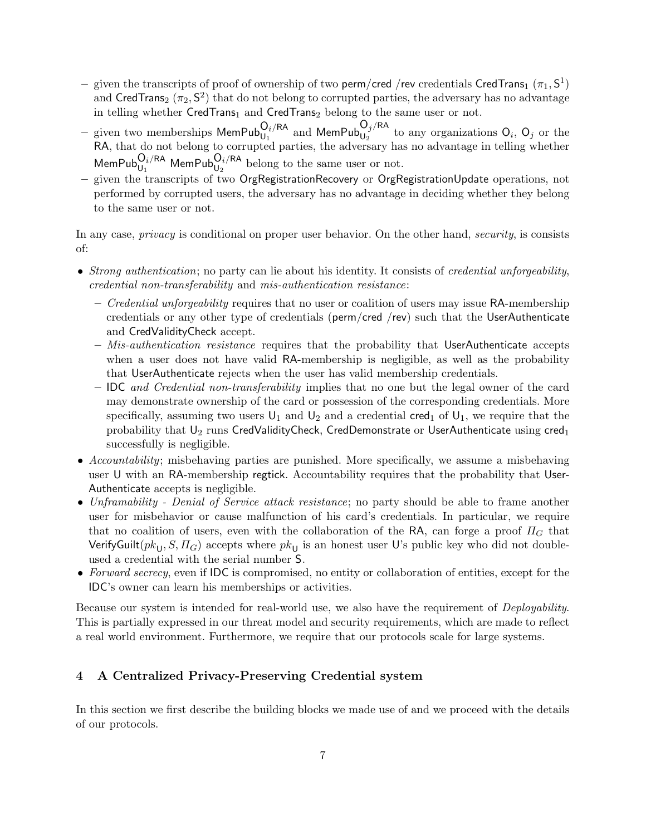- $-$  given the transcripts of proof of ownership of two  ${\sf perm/cred}$  /rev credentials <code>CredTrans</code>  $(\pi_1, {\sf S}^1)$ and  $\mathsf{CredTrans}_2\ (\pi_2, \mathsf{S}^2)$  that do not belong to corrupted parties, the adversary has no advantage in telling whether CredTrans<sub>1</sub> and CredTrans<sub>2</sub> belong to the same user or not.
- given two memberships  $\mathsf{MemPub}_{\mathsf{U}_1}^{\mathsf{O}_i/\mathsf{RA}}$  and  $\mathsf{MemPub}_{\mathsf{U}_2}^{\mathsf{O}_j/\mathsf{RA}}$  to any organizations  $\mathsf{O}_i$ ,  $\mathsf{O}_j$  or the RA, that do not belong to corrupted parties, the adversary has no advantage in telling whether MemPub $_{U_1}^{O_i/RA}$  MemPub $_{U_2}^{O_i/RA}$  belong to the same user or not.
- given the transcripts of two OrgRegistrationRecovery or OrgRegistrationUpdate operations, not performed by corrupted users, the adversary has no advantage in deciding whether they belong to the same user or not.

In any case, *privacy* is conditional on proper user behavior. On the other hand, *security*, is consists of:

- Strong authentication; no party can lie about his identity. It consists of credential unforgeability, credential non-transferability and mis-authentication resistance:
	- $\sim$  Credential unforgeability requires that no user or coalition of users may issue RA-membership credentials or any other type of credentials (perm/cred /rev) such that the UserAuthenticate and CredValidityCheck accept.
	- $-$  *Mis-authentication resistance* requires that the probability that UserAuthenticate accepts when a user does not have valid RA-membership is negligible, as well as the probability that UserAuthenticate rejects when the user has valid membership credentials.
	- IDC and Credential non-transferability implies that no one but the legal owner of the card may demonstrate ownership of the card or possession of the corresponding credentials. More specifically, assuming two users  $U_1$  and  $U_2$  and a credential cred<sub>1</sub> of  $U_1$ , we require that the probability that  $U_2$  runs CredValidityCheck, CredDemonstrate or UserAuthenticate using cred<sub>1</sub> successfully is negligible.
- Accountability; misbehaving parties are punished. More specifically, we assume a misbehaving user U with an RA-membership regtick. Accountability requires that the probability that User-Authenticate accepts is negligible.
- Unframability Denial of Service attack resistance; no party should be able to frame another user for misbehavior or cause malfunction of his card's credentials. In particular, we require that no coalition of users, even with the collaboration of the RA, can forge a proof  $\Pi_G$  that VerifyGuilt $(pk_U, S, H_G)$  accepts where  $pk_U$  is an honest user U's public key who did not doubleused a credential with the serial number S.
- Forward secrecy, even if IDC is compromised, no entity or collaboration of entities, except for the IDC's owner can learn his memberships or activities.

Because our system is intended for real-world use, we also have the requirement of Deployability. This is partially expressed in our threat model and security requirements, which are made to reflect a real world environment. Furthermore, we require that our protocols scale for large systems.

# 4 A Centralized Privacy-Preserving Credential system

In this section we first describe the building blocks we made use of and we proceed with the details of our protocols.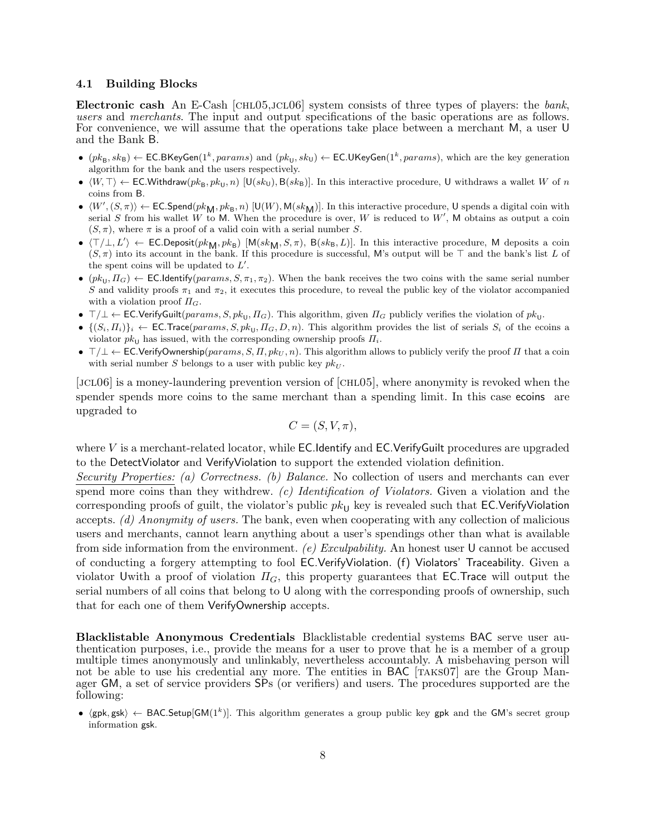#### 4.1 Building Blocks

Electronic cash An E-Cash  $[CHL05,JCL06]$  system consists of three types of players: the bank, users and merchants. The input and output specifications of the basic operations are as follows. For convenience, we will assume that the operations take place between a merchant M, a user U and the Bank B.

- $(pk_B, sk_B) \leftarrow \textsf{EC.BKeyGen}(1^k,params)$  and  $(pk_U, sk_U) \leftarrow \textsf{EC.UKeyGen}(1^k,params)$ , which are the key generation algorithm for the bank and the users respectively.
- $\langle W, \top \rangle$   $\leftarrow$  EC.Withdraw $(pk_B, pk_U, n)$  [U $(sk_U)$ , B $(sk_B)$ ]. In this interactive procedure, U withdraws a wallet W of n coins from B.
- $\langle W',(S,\pi) \rangle \leftarrow \textsf{EC.Spend}(pk_M, pk_B, n)$  [U(W), M( $sk_M$ )]. In this interactive procedure, U spends a digital coin with serial S from his wallet W to M. When the procedure is over, W is reduced to  $W'$ , M obtains as output a coin  $(S, \pi)$ , where  $\pi$  is a proof of a valid coin with a serial number S.
- $\langle \top/\bot, L' \rangle \leftarrow \textsf{EC.Deposit}(pk_M, pk_B)$  [M( $sk_M, S, \pi$ ), B( $sk_B, L$ )]. In this interactive procedure, M deposits a coin  $(S, \pi)$  into its account in the bank. If this procedure is successful, M's output will be  $\top$  and the bank's list L of the spent coins will be updated to  $L'$ .
- $\bullet$  ( $pk_{U}, \Pi_{G}$ )  $\leftarrow$  EC.Identify( $params, S, \pi_{1}, \pi_{2}$ ). When the bank receives the two coins with the same serial number S and validity proofs  $\pi_1$  and  $\pi_2$ , it executes this procedure, to reveal the public key of the violator accompanied with a violation proof  $\Pi_G$ .
- $\top/\bot \leftarrow \textsf{EC}.\textsf{VerifyGulit}(params, S, pk_\textsf{U}, H_G)$ . This algorithm, given  $H_G$  publicly verifies the violation of  $pk_\textsf{U}$ .
- $\bullet$   $\{(S_i, \Pi_i)\}\right\}$   $\leftarrow$  EC.Trace(params, S, pk<sub>U</sub>,  $\Pi_G, D, n$ ). This algorithm provides the list of serials  $S_i$  of the ecoins a violator  $pk_{\text{U}}$  has issued, with the corresponding ownership proofs  $\Pi_i$ .
- $\top/\bot \leftarrow$  EC.VerifyOwnership(params, S,  $\Pi$ , pk<sub>U</sub>, n). This algorithm allows to publicly verify the proof  $\Pi$  that a coin with serial number S belongs to a user with public key  $pk_{U}$ .

[jcl06] is a money-laundering prevention version of [chl05], where anonymity is revoked when the spender spends more coins to the same merchant than a spending limit. In this case ecoins are upgraded to

$$
C = (S, V, \pi),
$$

where  $V$  is a merchant-related locator, while **EC.** Identify and **EC.** Verify Guilt procedures are upgraded to the DetectViolator and VerifyViolation to support the extended violation definition.

Security Properties: (a) Correctness. (b) Balance. No collection of users and merchants can ever spend more coins than they withdrew.  $(c)$  *Identification of Violators*. Given a violation and the corresponding proofs of guilt, the violator's public  $pk_{\text{U}}$  key is revealed such that EC.VerifyViolation accepts. (d) Anonymity of users. The bank, even when cooperating with any collection of malicious users and merchants, cannot learn anything about a user's spendings other than what is available from side information from the environment. (e) Exculpability. An honest user  $\mathsf{U}$  cannot be accused of conducting a forgery attempting to fool EC.VerifyViolation. (f) Violators' Traceability. Given a violator Uwith a proof of violation  $\Pi_G$ , this property guarantees that EC.Trace will output the serial numbers of all coins that belong to U along with the corresponding proofs of ownership, such that for each one of them VerifyOwnership accepts.

Blacklistable Anonymous Credentials Blacklistable credential systems BAC serve user authentication purposes, i.e., provide the means for a user to prove that he is a member of a group multiple times anonymously and unlinkably, nevertheless accountably. A misbehaving person will not be able to use his credential any more. The entities in BAC [TAKS07] are the Group Manager GM, a set of service providers SPs (or verifiers) and users. The procedures supported are the following:

•  $\langle gpk, gsk \rangle \leftarrow BAC.Setup[GM(1^k)].$  This algorithm generates a group public key gpk and the GM's secret group information gsk.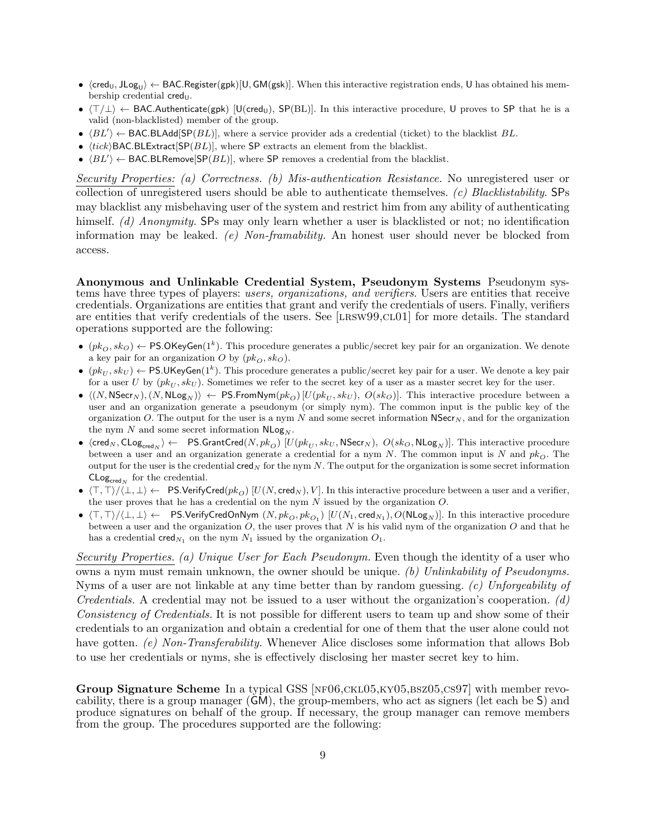- $\bullet$   $\langle$ cred $_{\rm U},$  JLog $_{\rm U}\rangle$   $\leftarrow$  BAC.Register(gpk)[U, GM(gsk)]. When this interactive registration ends, U has obtained his membership credential  $\mathsf{cred}_\mathsf{U}$ .
- $\langle T/\perp \rangle$  ← BAC.Authenticate(gpk) [U(cred<sub>U</sub>), SP(BL)]. In this interactive procedure, U proves to SP that he is a valid (non-blacklisted) member of the group.
- $\langle BL' \rangle \leftarrow \text{BAC.BLAdd}[\text{SP}(BL)],$  where a service provider ads a credential (ticket) to the blacklist BL.
- $\langle tick \rangle$ BAC.BLExtract[SP( $BL$ )], where SP extracts an element from the blacklist.
- $\langle BL' \rangle \leftarrow$  BAC.BLRemove[SP(*BL*)], where SP removes a credential from the blacklist.

Security Properties: (a) Correctness. (b) Mis-authentication Resistance. No unregistered user or collection of unregistered users should be able to authenticate themselves. (c) Blacklistability. SPs may blacklist any misbehaving user of the system and restrict him from any ability of authenticating himself. (d) Anonymity. SPs may only learn whether a user is blacklisted or not; no identification information may be leaked. (e) Non-framability. An honest user should never be blocked from access.

Anonymous and Unlinkable Credential System, Pseudonym Systems Pseudonym systems have three types of players: users, organizations, and verifiers. Users are entities that receive credentials. Organizations are entities that grant and verify the credentials of users. Finally, verifiers are entities that verify credentials of the users. See [LRSW99,CL01] for more details. The standard operations supported are the following:

- $(pk_O, sk_O) \leftarrow \text{PS.OKeyGen}(1^k)$ . This procedure generates a public/secret key pair for an organization. We denote a key pair for an organization O by  $(pk_O, sk_O)$ .
- $(pk_U, sk_U) \leftarrow \textsf{PS.UKeyGen}(1^k)$ . This procedure generates a public/secret key pair for a user. We denote a key pair for a user U by  $(pk_U, sk_U)$ . Sometimes we refer to the secret key of a user as a master secret key for the user.
- $\langle (N, \text{NSec}_N), (N, \text{NLog}_N) \rangle$  ← PS.FromNym $(pk_O)$  [ $U(pk_U, sk_U)$ ,  $O(sk_O)$ ]. This interactive procedure between a user and an organization generate a pseudonym (or simply nym). The common input is the public key of the organization O. The output for the user is a nym  $N$  and some secret information  $N\text{Sec}_N$ , and for the organization the nym  $N$  and some secret information  $NLog_N$ .
- $\bullet$  (cred<sub>N</sub>,  $\textsf{CLog}_{\textsf{cred}_N} \rangle \leftarrow$  PS.GrantCred $(N, pk_O)$   $[U(pk_U, sk_U, \textsf{NSec}_{N}),\ O(sk_O, \textsf{NLog}_N)]$ . This interactive procedure between a user and an organization generate a credential for a nym N. The common input is N and  $pk<sub>O</sub>$ . The output for the user is the credential cred<sub>N</sub> for the nym N. The output for the organization is some secret information  $\mathsf{CLog}_{\mathsf{cred}_N}$  for the credential.
- $\langle T, T \rangle / \langle L, L \rangle \leftarrow PS.V$ erifyCred $(pk_O)$  [U(N, cred<sub>N</sub>), V]. In this interactive procedure between a user and a verifier, the user proves that he has a credential on the nym  $N$  issued by the organization  $O$ .
- $\bullet$   $\langle \top, \top \rangle / \langle \bot, \bot \rangle \leftarrow$  PS.VerifyCredOnNym  $(N, pk_O, pk_{O_1})$   $[U(N_1, \mathsf{cred}_{N_1}), O(\mathsf{NLog}_N)]$ . In this interactive procedure between a user and the organization  $O$ , the user proves that N is his valid nym of the organization  $O$  and that he has a credential  $\text{cred}_{N_1}$  on the nym  $N_1$  issued by the organization  $O_1$ .

Security Properties. (a) Unique User for Each Pseudonym. Even though the identity of a user who owns a nym must remain unknown, the owner should be unique. (b) Unlinkability of Pseudonyms. Nyms of a user are not linkable at any time better than by random guessing. (c) Unforgeability of Credentials. A credential may not be issued to a user without the organization's cooperation.  $(d)$ Consistency of Credentials. It is not possible for different users to team up and show some of their credentials to an organization and obtain a credential for one of them that the user alone could not have gotten. (e) Non-Transferability. Whenever Alice discloses some information that allows Bob to use her credentials or nyms, she is effectively disclosing her master secret key to him.

Group Signature Scheme In a typical GSS [NF06,CKL05,KY05,BSZ05,CS97] with member revocability, there is a group manager (GM), the group-members, who act as signers (let each be S) and produce signatures on behalf of the group. If necessary, the group manager can remove members from the group. The procedures supported are the following: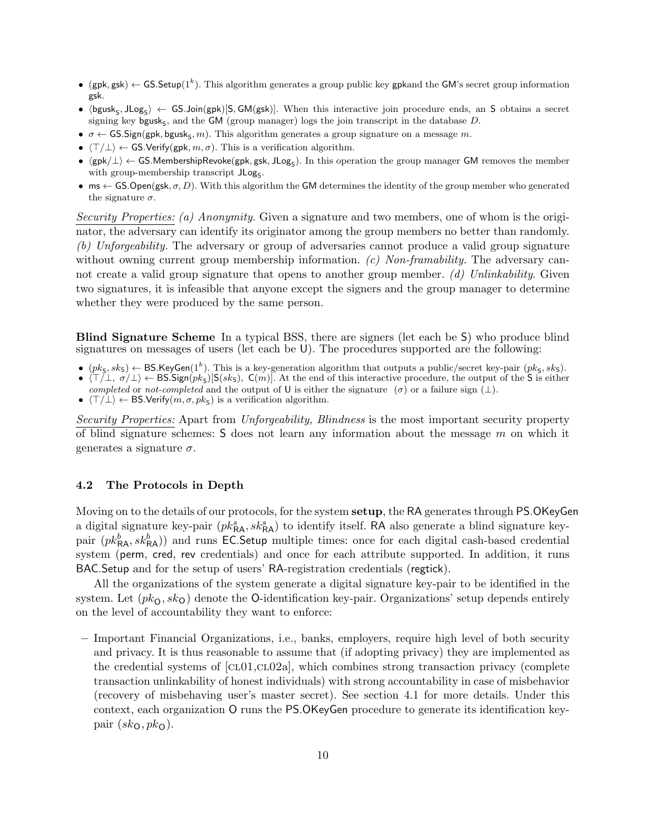- (gpk, gsk)  $\leftarrow$  GS.Setup(1<sup>k</sup>). This algorithm generates a group public key gpkand the GM's secret group information gsk.
- $\langle$ bgusk<sub>S</sub>, JLog<sub>S</sub> $\rangle$  ← GS.Join(gpk)[S, GM(gsk)]. When this interactive join procedure ends, an S obtains a secret signing key bgusk<sub>S</sub>, and the **GM** (group manager) logs the join transcript in the database  $D$ .
- $\sigma \leftarrow$  GS.Sign(gpk, bgusk<sub>S</sub>, m). This algorithm generates a group signature on a message m.
- $\langle T/\perp \rangle \leftarrow$  GS.Verify(gpk,  $m, \sigma$ ). This is a verification algorithm.
- $\langle gpk/\perp\rangle \leftarrow$  GS.MembershipRevoke(gpk, gsk, JLog<sub>S</sub>). In this operation the group manager GM removes the member with group-membership transcript  $JLog<sub>S</sub>$ .
- ms  $\leftarrow$  GS.Open(gsk,  $\sigma$ , D). With this algorithm the GM determines the identity of the group member who generated the signature  $\sigma$ .

Security Properties: (a) Anonymity. Given a signature and two members, one of whom is the originator, the adversary can identify its originator among the group members no better than randomly. (b) Unforgeability. The adversary or group of adversaries cannot produce a valid group signature without owning current group membership information.  $(c)$  Non-framability. The adversary cannot create a valid group signature that opens to another group member. (d) Unlinkability. Given two signatures, it is infeasible that anyone except the signers and the group manager to determine whether they were produced by the same person.

Blind Signature Scheme In a typical BSS, there are signers (let each be S) who produce blind signatures on messages of users (let each be U). The procedures supported are the following:

- $(pk_5, sk_5) \leftarrow \text{BS}$ . KeyGen(1<sup>k</sup>). This is a key-generation algorithm that outputs a public/secret key-pair  $(pk_5, sk_5)$ .
- $\langle \top/\bot, \sigma/\bot \rangle \leftarrow \text{BS}.Sign(pk_S)[S(sk_S), C(m)]$ . At the end of this interactive procedure, the output of the S is either completed or not-completed and the output of U is either the signature ( $\sigma$ ) or a failure sign ( $\perp$ ).
- $\langle \top/\bot \rangle \leftarrow \text{BS.Verify}(m, \sigma, pk_{\text{S}})$  is a verification algorithm.

Security Properties: Apart from Unforgeability, Blindness is the most important security property of blind signature schemes:  $S$  does not learn any information about the message  $m$  on which it generates a signature  $\sigma$ .

### 4.2 The Protocols in Depth

Moving on to the details of our protocols, for the system **setup**, the RA generates through PS.OKeyGen a digital signature key-pair  $(pk_{\mathsf{RA}}^s, sk_{\mathsf{RA}}^s)$  to identify itself. RA also generate a blind signature keypair  $(pk_{\mathsf{RA}}^b, sk_{\mathsf{RA}}^b)$  and runs EC.Setup multiple times: once for each digital cash-based credential system (perm, cred, rev credentials) and once for each attribute supported. In addition, it runs BAC.Setup and for the setup of users' RA-registration credentials (regtick).

All the organizations of the system generate a digital signature key-pair to be identified in the system. Let  $(pk<sub>O</sub>, sk<sub>O</sub>)$  denote the O-identification key-pair. Organizations' setup depends entirely on the level of accountability they want to enforce:

– Important Financial Organizations, i.e., banks, employers, require high level of both security and privacy. It is thus reasonable to assume that (if adopting privacy) they are implemented as the credential systems of  $\lbrack CL01, CL02a \rbrack$ , which combines strong transaction privacy (complete transaction unlinkability of honest individuals) with strong accountability in case of misbehavior (recovery of misbehaving user's master secret). See section 4.1 for more details. Under this context, each organization O runs the PS.OKeyGen procedure to generate its identification keypair  $(sk<sub>O</sub>, pk<sub>O</sub>)$ .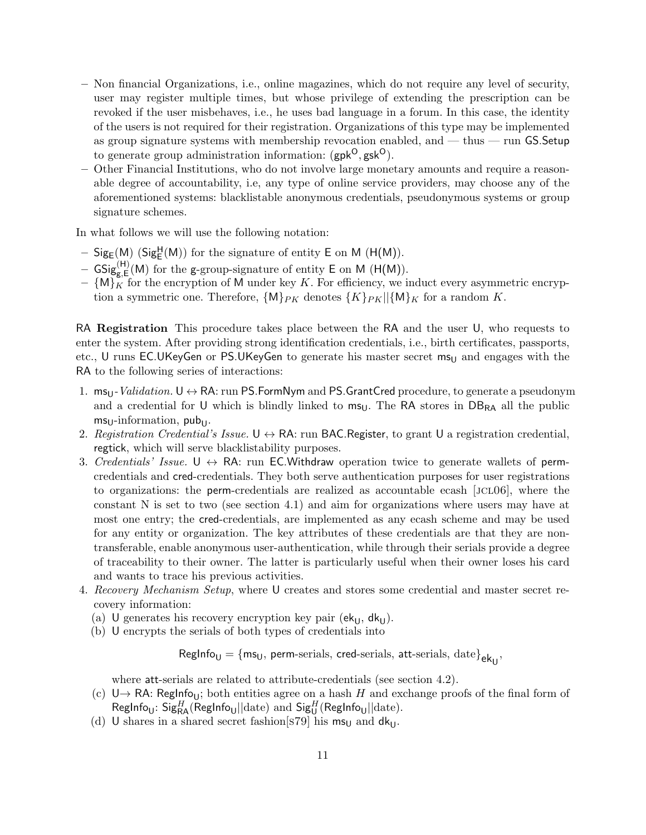- Non financial Organizations, i.e., online magazines, which do not require any level of security, user may register multiple times, but whose privilege of extending the prescription can be revoked if the user misbehaves, i.e., he uses bad language in a forum. In this case, the identity of the users is not required for their registration. Organizations of this type may be implemented as group signature systems with membership revocation enabled, and — thus — run  $GS$ . Setup to generate group administration information:  $(gpk^O, gsk^O)$ .
- Other Financial Institutions, who do not involve large monetary amounts and require a reasonable degree of accountability, i.e, any type of online service providers, may choose any of the aforementioned systems: blacklistable anonymous credentials, pseudonymous systems or group signature schemes.

In what follows we will use the following notation:

- $Sig_E(M)$  ( $Sig_E^H(M)$ ) for the signature of entity E on M ( $H(M)$ ).
- $\mathsf{GSig}_{g,E}^{(H)}(M)$  for the g-group-signature of entity E on M (H(M)).
- $-$  {M}<sub>K</sub> for the encryption of M under key K. For efficiency, we induct every asymmetric encryption a symmetric one. Therefore,  $\{M\}_{PK}$  denotes  $\{K\}_{PK}$ || $\{M\}_{K}$  for a random K.

RA Registration This procedure takes place between the RA and the user U, who requests to enter the system. After providing strong identification credentials, i.e., birth certificates, passports, etc., U runs EC.UKeyGen or PS.UKeyGen to generate his master secret  $ms<sub>U</sub>$  and engages with the RA to the following series of interactions:

- 1.  $ms_U-Validation. U \leftrightarrow RA$ : run PS.FormNym and PS.GrantCred procedure, to generate a pseudonym and a credential for U which is blindly linked to  $m_{5U}$ . The RA stores in  $DB_{RA}$  all the public  $ms_{U}$ -information, pub
- 2. Registration Credential's Issue.  $U \leftrightarrow R$ A: run BAC.Register, to grant U a registration credential, regtick, which will serve blacklistability purposes.
- 3. Credentials' Issue.  $U \leftrightarrow RA$ : run EC.Withdraw operation twice to generate wallets of permcredentials and cred-credentials. They both serve authentication purposes for user registrations to organizations: the perm-credentials are realized as accountable ecash [JCL06], where the constant N is set to two (see section 4.1) and aim for organizations where users may have at most one entry; the cred-credentials, are implemented as any ecash scheme and may be used for any entity or organization. The key attributes of these credentials are that they are nontransferable, enable anonymous user-authentication, while through their serials provide a degree of traceability to their owner. The latter is particularly useful when their owner loses his card and wants to trace his previous activities.
- 4. Recovery Mechanism Setup, where U creates and stores some credential and master secret recovery information:
	- (a) U generates his recovery encryption key pair ( $ek<sub>U</sub>$ ,  $dk<sub>U</sub>$ ).
	- (b) U encrypts the serials of both types of credentials into

 $\mathsf{RegInfo_U} = \{\mathsf{ms}_\mathsf{U},\, \mathsf{perm}\text{-series},\, \mathsf{cred}\text{-series},\, \mathsf{att}\text{-series},\, \mathsf{date}\}_{\mathsf{ek}_\mathsf{U}},$ 

where att-serials are related to attribute-credentials (see section 4.2).

- (c) U→ RA: RegInfo<sub>U</sub>; both entities agree on a hash H and exchange proofs of the final form of RegInfo<sub>U</sub>:  $\mathsf{Sig}_{\mathsf{RA}}^H(\mathsf{RegInfo}_\mathsf{U} || \text{date})$  and  $\mathsf{Sig}_{\mathsf{U}}^H(\mathsf{RegInfo}_\mathsf{U} || \text{date}).$
- (d) U shares in a shared secret fashion[s79] his  $ms_U$  and  $dk_U$ .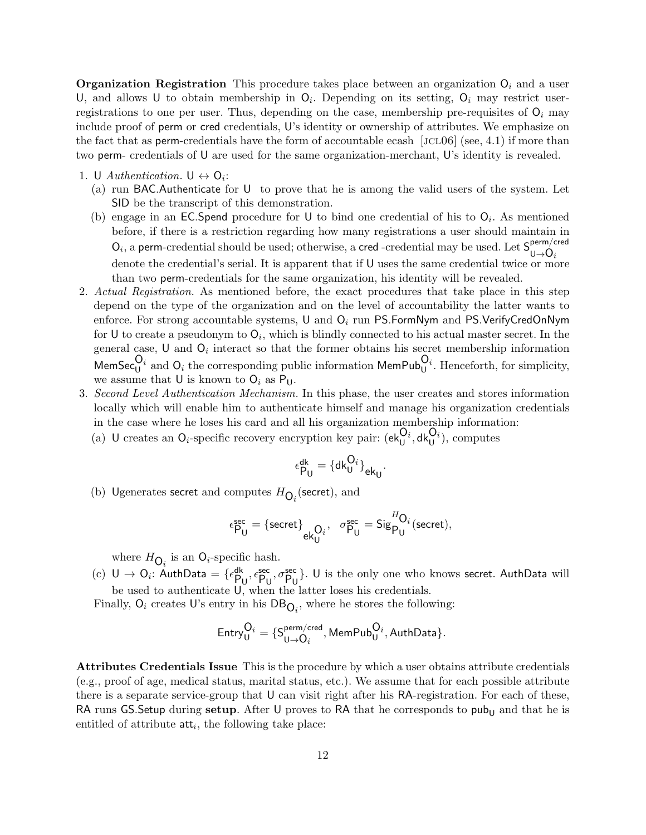**Organization Registration** This procedure takes place between an organization  $O_i$  and a user U, and allows U to obtain membership in  $O_i$ . Depending on its setting,  $O_i$  may restrict userregistrations to one per user. Thus, depending on the case, membership pre-requisites of  $O_i$  may include proof of perm or cred credentials, U's identity or ownership of attributes. We emphasize on the fact that as **perm**-credentials have the form of accountable ecash [JCL06] (see, 4.1) if more than two perm- credentials of U are used for the same organization-merchant, U's identity is revealed.

- 1. U Authentication.  $U \leftrightarrow O_i$ :
	- (a) run BAC.Authenticate for U to prove that he is among the valid users of the system. Let SID be the transcript of this demonstration.
	- (b) engage in an EC.Spend procedure for U to bind one credential of his to  $O_i$ . As mentioned before, if there is a restriction regarding how many registrations a user should maintain in  $O_i$ , a perm-credential should be used; otherwise, a cred-credential may be used. Let  $S_{11}^{perm/cred}$  $\mathsf{U}\rightarrow \mathsf{O}_i$ denote the credential's serial. It is apparent that if U uses the same credential twice or more than two perm-credentials for the same organization, his identity will be revealed.
- 2. Actual Registration. As mentioned before, the exact procedures that take place in this step depend on the type of the organization and on the level of accountability the latter wants to enforce. For strong accountable systems, U and  $O_i$  run PS.FormNym and PS.VerifyCredOnNym for U to create a pseudonym to  $O_i$ , which is blindly connected to his actual master secret. In the general case, U and  $O_i$  interact so that the former obtains his secret membership information MemSec $_0^{O_i}$  and  $O_i$  the corresponding public information MemPub $_0^{O_i}$ . Henceforth, for simplicity, we assume that U is known to  $O_i$  as  $P_{U}$ .
- 3. Second Level Authentication Mechanism. In this phase, the user creates and stores information locally which will enable him to authenticate himself and manage his organization credentials in the case where he loses his card and all his organization membership information:
	- (a) U creates an  $Q_i$ -specific recovery encryption key pair:  $(e k_U^{Q_i}, dk_U^{Q_i})$ , computes

$$
\epsilon_{\mathsf{P_U}}^{\mathsf{dk}} = \{\mathsf{dk}_{\mathsf{U}}^{\mathsf{O}_i}\}_{\mathsf{ek}_{\mathsf{U}}}
$$

.

(b) Ugenerates secret and computes  $H_{\mathbf{O}_i}$  (secret), and

$$
\epsilon^{\text{sec}}_{\text{P}_\text{U}} = \{\text{secret}\}_{\text{ek}^{\text{O}_i}_\text{U}},~~\sigma^{\text{sec}}_{\text{P}_\text{U}} = \text{Sig}^{H\text{O}_i}_{\text{P}_\text{U}}(\text{secret}),
$$

where  $H_{\mathbf{O}_i}$  is an  $\mathbf{O}_i$ -specific hash.

(c)  $U \to O_i$ : AuthData = { $\epsilon_{P_U}^{dk}$ ,  $\epsilon_{P_U}^{sec}$ ,  $\sigma_{P_U}^{sec}$ }. U is the only one who knows secret. AuthData will be used to authenticate U, when the latter loses his credentials.

Finally,  $O_i$  creates U's entry in his  $DB_{O_i}$ , where he stores the following:

$$
\mathsf{Entry}_\mathsf{U}^{\mathsf{O}_i} = \{\mathsf{S}^{\mathsf{perm/cred}}_{\mathsf{U} \rightarrow \mathsf{O}_i}, \mathsf{MemPub}_\mathsf{U}^{\mathsf{O}_i}, \mathsf{AuthData}\}.
$$

Attributes Credentials Issue This is the procedure by which a user obtains attribute credentials (e.g., proof of age, medical status, marital status, etc.). We assume that for each possible attribute there is a separate service-group that U can visit right after his RA-registration. For each of these, RA runs GS. Setup during setup. After U proves to RA that he corresponds to pub<sub>U</sub> and that he is entitled of attribute  $\mathsf{att}_i$ , the following take place: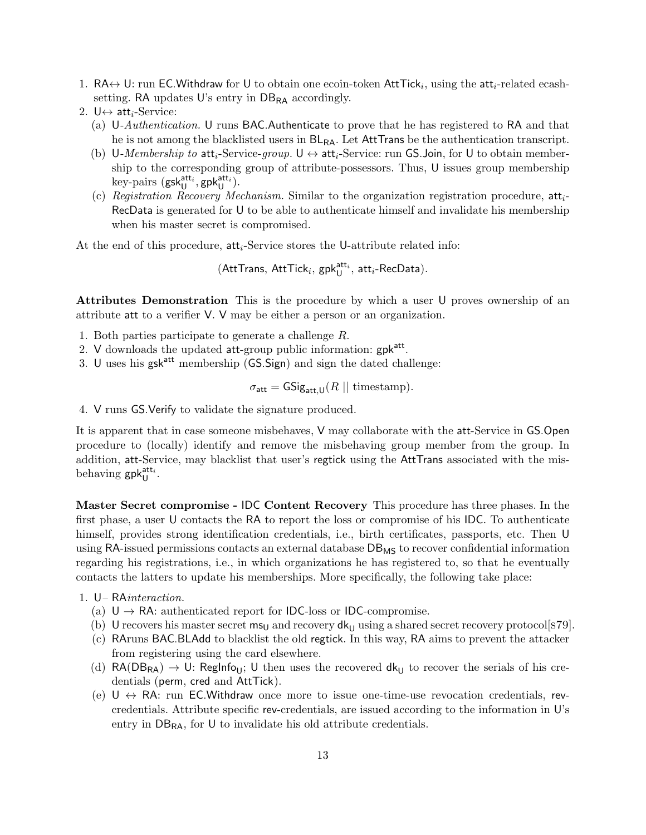- 1. RA $\leftrightarrow$  U: run EC. Withdraw for U to obtain one ecoin-token AttTick<sub>i</sub>, using the att<sub>i</sub>-related ecashsetting. RA updates U's entry in  $DB_{RA}$  accordingly.
- 2. U $\leftrightarrow$  att<sub>i</sub>-Service:
	- (a) U-Authentication. U runs BAC.Authenticate to prove that he has registered to RA and that he is not among the blacklisted users in  $BL_{RA}$ . Let AttTrans be the authentication transcript.
	- (b) U-Membership to att<sub>i</sub>-Service-group.  $U \leftrightarrow att_i$ -Service: run GS.Join, for U to obtain membership to the corresponding group of attribute-possessors. Thus, U issues group membership  $key$ -pairs  $(gsk_U^{att_i}, gpk_U^{att_i}).$
	- (c) Registration Recovery Mechanism. Similar to the organization registration procedure,  $att_i$ -RecData is generated for U to be able to authenticate himself and invalidate his membership when his master secret is compromised.

At the end of this procedure, att<sub>i</sub>-Service stores the U-attribute related info:

 $(\mathsf{AttTrans}, \, \mathsf{AttTick}_i, \, \mathsf{gpk}^{\mathsf{att}_i}_\mathsf{U}, \, \mathsf{att}_i\text{-}\mathsf{RecData}).$ 

Attributes Demonstration This is the procedure by which a user U proves ownership of an attribute att to a verifier V. V may be either a person or an organization.

- 1. Both parties participate to generate a challenge R.
- 2. V downloads the updated att-group public information: gpk<sup>att</sup>.
- 3. U uses his  $gsk<sup>att</sup>$  membership (GS.Sign) and sign the dated challenge:

$$
\sigma_{\text{att}} = \text{GSig}_{\text{att,U}}(R \mid \mid \text{timestamp}).
$$

4. V runs GS.Verify to validate the signature produced.

It is apparent that in case someone misbehaves, V may collaborate with the att-Service in GS.Open procedure to (locally) identify and remove the misbehaving group member from the group. In addition, att-Service, may blacklist that user's regtick using the AttTrans associated with the misbehaving  $\mathsf{gpk}^{\mathsf{att}_i}_{\mathsf{U}}$ .

Master Secret compromise - IDC Content Recovery This procedure has three phases. In the first phase, a user U contacts the RA to report the loss or compromise of his IDC. To authenticate himself, provides strong identification credentials, i.e., birth certificates, passports, etc. Then U using RA-issued permissions contacts an external database  $DB_{MS}$  to recover confidential information regarding his registrations, i.e., in which organizations he has registered to, so that he eventually contacts the latters to update his memberships. More specifically, the following take place:

- 1. U– RAinteraction.
	- (a)  $U \rightarrow RA$ : authenticated report for IDC-loss or IDC-compromise.
	- (b) U recovers his master secret  $ms_U$  and recovery  $dk_U$  using a shared secret recovery protocol[s79].
	- (c) RAruns BAC.BLAdd to blacklist the old regtick. In this way, RA aims to prevent the attacker from registering using the card elsewhere.
	- (d)  $\text{RA}(\text{DB}_{\text{RA}}) \rightarrow U$ : Reglnfo<sub>U</sub>; U then uses the recovered dk<sub>U</sub> to recover the serials of his credentials (perm, cred and AttTick).
	- (e)  $U \leftrightarrow RA$ : run EC. Withdraw once more to issue one-time-use revocation credentials, revcredentials. Attribute specific rev-credentials, are issued according to the information in U's entry in  $DB_{RA}$ , for U to invalidate his old attribute credentials.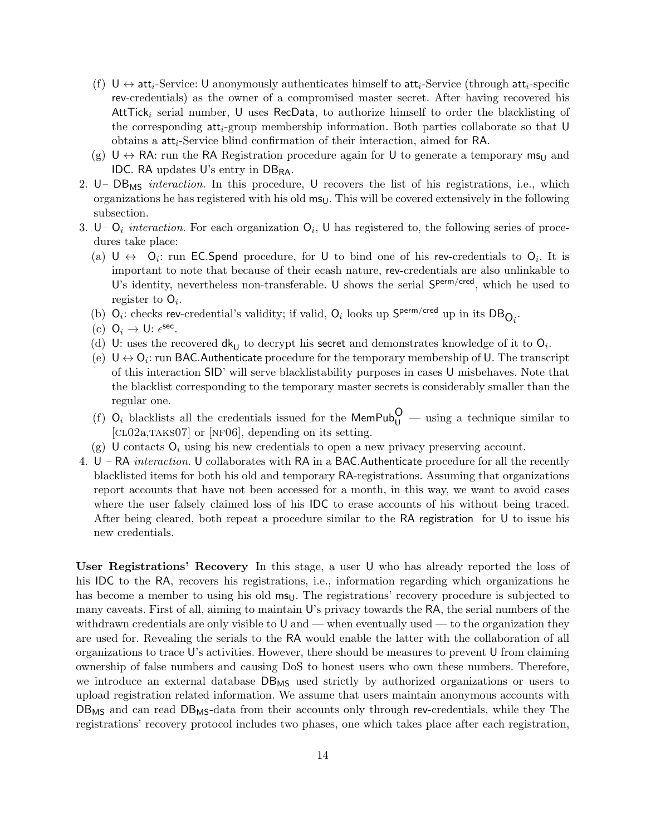- (f)  $U \leftrightarrow att_i$ -Service: U anonymously authenticates himself to att<sub>i</sub>-Service (through att<sub>i</sub>-specific rev-credentials) as the owner of a compromised master secret. After having recovered his Att $Tick_i$  serial number, U uses RecData, to authorize himself to order the blacklisting of the corresponding  $\mathsf{att}_i$ -group membership information. Both parties collaborate so that U obtains a atti-Service blind confirmation of their interaction, aimed for RA.
- (g)  $U \leftrightarrow RA$ : run the RA Registration procedure again for U to generate a temporary  $ms<sub>U</sub>$  and IDC. RA updates U's entry in  $DB_{RA}$ .
- 2.  $U DB_{\text{MS}}$  interaction. In this procedure, U recovers the list of his registrations, i.e., which organizations he has registered with his old  $ms<sub>U</sub>$ . This will be covered extensively in the following subsection.
- 3. U–  $O_i$  interaction. For each organization  $O_i$ , U has registered to, the following series of procedures take place:
	- (a)  $\cup \leftrightarrow O_i$ : run EC. Spend procedure, for U to bind one of his rev-credentials to  $O_i$ . It is important to note that because of their ecash nature, rev-credentials are also unlinkable to U's identity, nevertheless non-transferable. U shows the serial  $S^{perm/cred}$ , which he used to register to  $O_i$ .
	- (b)  $Q_i$ : checks rev-credential's validity; if valid,  $Q_i$  looks up  $S^{perm/cred}$  up in its  $DB_{Q_i}$ .
	- (c)  $O_i \rightarrow U: \epsilon^{\text{sec}}$ .
	- (d) U: uses the recovered  $dk_U$  to decrypt his secret and demonstrates knowledge of it to  $O_i$ .
	- (e)  $U \leftrightarrow O_i$ : run BAC. Authenticate procedure for the temporary membership of U. The transcript of this interaction SID' will serve blacklistability purposes in cases U misbehaves. Note that the blacklist corresponding to the temporary master secrets is considerably smaller than the regular one.
	- (f)  $O_i$  blacklists all the credentials issued for the MemPub<sub>U</sub> using a technique similar to  $[CL02a, TAKS07]$  or  $[NF06]$ , depending on its setting.
	- (g) U contacts  $O_i$  using his new credentials to open a new privacy preserving account.
- 4. U RA interaction. U collaborates with RA in a BAC.Authenticate procedure for all the recently blacklisted items for both his old and temporary RA-registrations. Assuming that organizations report accounts that have not been accessed for a month, in this way, we want to avoid cases where the user falsely claimed loss of his IDC to erase accounts of his without being traced. After being cleared, both repeat a procedure similar to the RA registration for U to issue his new credentials.

User Registrations' Recovery In this stage, a user U who has already reported the loss of his IDC to the RA, recovers his registrations, i.e., information regarding which organizations he has become a member to using his old  $ms<sub>U</sub>$ . The registrations' recovery procedure is subjected to many caveats. First of all, aiming to maintain U's privacy towards the RA, the serial numbers of the withdrawn credentials are only visible to  $U$  and — when eventually used — to the organization they are used for. Revealing the serials to the RA would enable the latter with the collaboration of all organizations to trace U's activities. However, there should be measures to prevent U from claiming ownership of false numbers and causing DoS to honest users who own these numbers. Therefore, we introduce an external database  $DB_{MS}$  used strictly by authorized organizations or users to upload registration related information. We assume that users maintain anonymous accounts with DB<sub>MS</sub> and can read DB<sub>MS</sub>-data from their accounts only through rev-credentials, while they The registrations' recovery protocol includes two phases, one which takes place after each registration,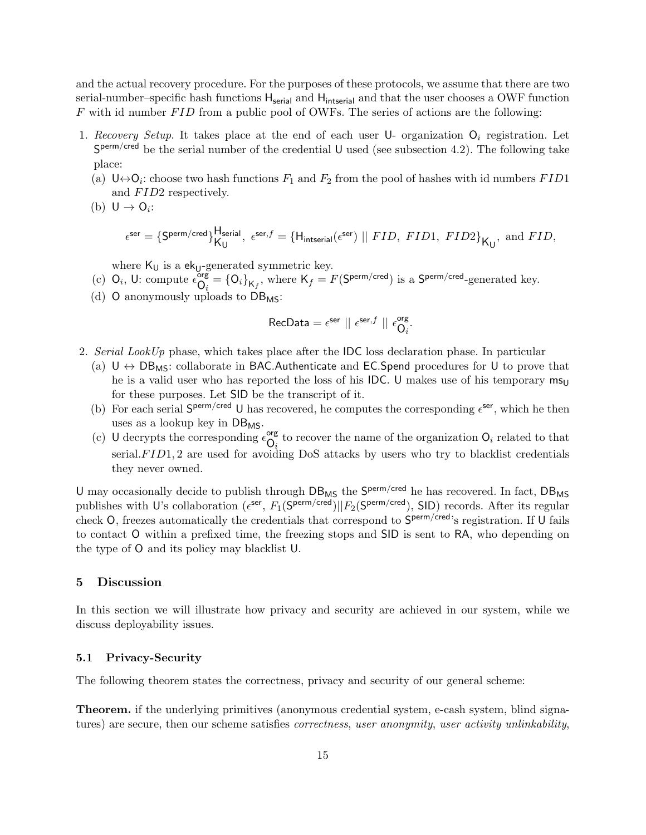and the actual recovery procedure. For the purposes of these protocols, we assume that there are two serial-number–specific hash functions  $H_{\text{serial}}$  and  $H_{\text{integral}}$  and that the user chooses a OWF function  $F$  with id number  $FID$  from a public pool of OWFs. The series of actions are the following:

- 1. Recovery Setup. It takes place at the end of each user  $\mathsf{U}$  organization  $\mathsf{O}_i$  registration. Let  $S^{perm/cred}$  be the serial number of the credential U used (see subsection 4.2). The following take place:
	- (a)  $\mathsf{U}\leftrightarrow\mathsf{O}_i$ : choose two hash functions  $F_1$  and  $F_2$  from the pool of hashes with id numbers  $FID1$ and  $FID2$  respectively.
	- (b)  $U \rightarrow O_i$ :

$$
\epsilon^{\text{ser}} = \{\text{S}^{\text{perm/cred}}\}_{\mathsf{K}_{\mathsf{U}}}^{\mathsf{H}_{\text{serial}}},\ \epsilon^{\text{ser},f} = \{\textsf{H}_{\text{instead}}(\epsilon^{\text{ser}}) \mid\mid FID,\ FID1,\ FID2\}_{\mathsf{K}_{\mathsf{U}}},\ \text{and}\ FID,
$$

where  $\mathsf{K}_\mathsf{U}$  is a  $\mathsf{ek}_\mathsf{U}\text{-generated symmetric key}.$ 

- (c)  $Q_i$ , U: compute  $\epsilon_{\Omega}^{\text{org}}$  $\mathsf{O}_i^{\mathsf{org}} = \{\mathsf{O}_i\}_{\mathsf{K}_f},$  where  $\mathsf{K}_f = F(\mathsf{S^{perm/cred}})$  is a  $\mathsf{S^{perm/cred}}$ -generated key.
- (d) O anonymously uploads to  $DB_{MS}$ :

$$
\text{RecData} = \epsilon^{\text{ser}} \mid \mid \epsilon^{\text{ser},f} \mid \mid \epsilon^{\text{org}}_{\text{O}_i}.
$$

- 2. Serial LookUp phase, which takes place after the IDC loss declaration phase. In particular
	- (a)  $U \leftrightarrow DB_{MS}$ : collaborate in BAC.Authenticate and EC.Spend procedures for U to prove that he is a valid user who has reported the loss of his IDC. U makes use of his temporary  $m_{\rm SU}$ for these purposes. Let SID be the transcript of it.
	- (b) For each serial  $S^{perm/cred}$  U has recovered, he computes the corresponding  $\epsilon^{ser}$ , which he then uses as a lookup key in  $DB_{MS}$ .
	- (c) U decrypts the corresponding  $\epsilon_{\Omega}^{\text{org}}$  $\mathcal{O}_i$  to recover the name of the organization  $\mathcal{O}_i$  related to that serial. $FID1$ , 2 are used for avoiding DoS attacks by users who try to blacklist credentials they never owned.

U may occasionally decide to publish through DB<sub>MS</sub> the S<sup>perm/cred</sup> he has recovered. In fact, DB<sub>MS</sub> publishes with U's collaboration ( $\epsilon^{\text{ser}}, F_1(\mathsf{S}^{\text{perm/cred}})||F_2(\mathsf{S}^{\text{perm/cred}})$ , SID) records. After its regular check O, freezes automatically the credentials that correspond to  $S^{perm/cred}$ 's registration. If U fails to contact O within a prefixed time, the freezing stops and SID is sent to RA, who depending on the type of O and its policy may blacklist U.

# 5 Discussion

In this section we will illustrate how privacy and security are achieved in our system, while we discuss deployability issues.

#### 5.1 Privacy-Security

The following theorem states the correctness, privacy and security of our general scheme:

Theorem. if the underlying primitives (anonymous credential system, e-cash system, blind signatures) are secure, then our scheme satisfies *correctness*, user anonymity, user activity unlinkability,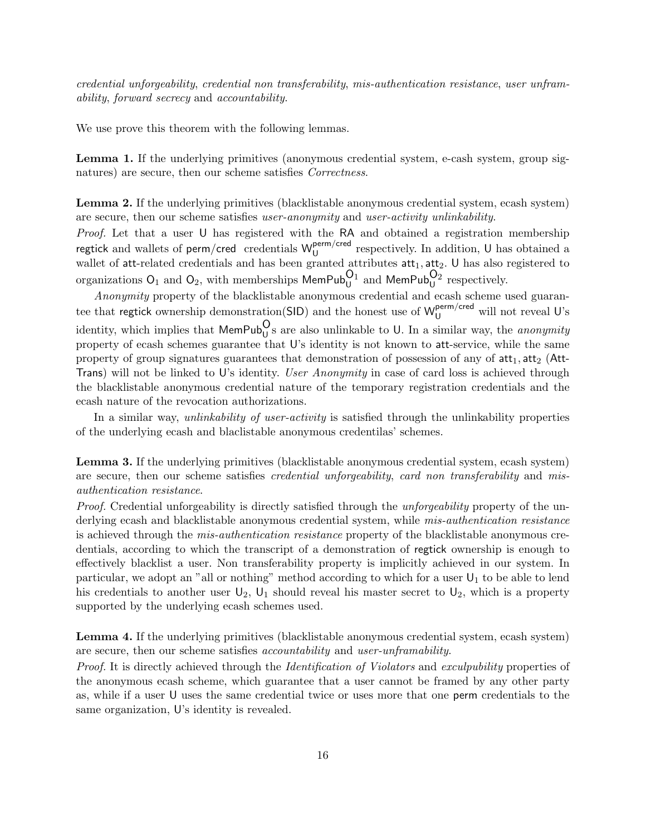credential unforgeability, credential non transferability, mis-authentication resistance, user unframability, forward secrecy and accountability.

We use prove this theorem with the following lemmas.

Lemma 1. If the underlying primitives (anonymous credential system, e-cash system, group signatures) are secure, then our scheme satisfies Correctness.

Lemma 2. If the underlying primitives (blacklistable anonymous credential system, ecash system) are secure, then our scheme satisfies user-anonymity and user-activity unlinkability.

Proof. Let that a user U has registered with the RA and obtained a registration membership regtick and wallets of perm/cred credentials  $W_{11}^{perm/cred}$  $\mathcal{U}$  respectively. In addition, U has obtained a wallet of att-related credentials and has been granted attributes  $att_1, att_2$ . U has also registered to organizations  $\mathsf{O}_1$  and  $\mathsf{O}_2$ , with memberships  $\mathsf{MemPub}^{\mathsf{O}_1}_{\mathsf{U}}$  and  $\mathsf{MemPub}^{\mathsf{O}_2}_{\mathsf{U}}$  respectively.

Anonymity property of the blacklistable anonymous credential and ecash scheme used guarantee that regtick ownership demonstration(SID) and the honest use of  $W_U^{perm/cred}$  will not reveal U's identity, which implies that  $\mathsf{MemPub}^{\mathsf{O}}_U$ s are also unlinkable to U. In a similar way, the *anonymity* property of ecash schemes guarantee that U's identity is not known to att-service, while the same property of group signatures guarantees that demonstration of possession of any of  $\mathsf{att}_1, \mathsf{att}_2$  (Att-Trans) will not be linked to U's identity. User Anonymity in case of card loss is achieved through the blacklistable anonymous credential nature of the temporary registration credentials and the ecash nature of the revocation authorizations.

In a similar way, *unlinkability of user-activity* is satisfied through the unlinkability properties of the underlying ecash and blaclistable anonymous credentilas' schemes.

Lemma 3. If the underlying primitives (blacklistable anonymous credential system, ecash system) are secure, then our scheme satisfies *credential unforgeability, card non transferability* and misauthentication resistance.

Proof. Credential unforgeability is directly satisfied through the *unforgeability* property of the underlying ecash and blacklistable anonymous credential system, while mis-authentication resistance is achieved through the mis-authentication resistance property of the blacklistable anonymous credentials, according to which the transcript of a demonstration of regtick ownership is enough to effectively blacklist a user. Non transferability property is implicitly achieved in our system. In particular, we adopt an "all or nothing" method according to which for a user  $U_1$  to be able to lend his credentials to another user  $U_2$ ,  $U_1$  should reveal his master secret to  $U_2$ , which is a property supported by the underlying ecash schemes used.

Lemma 4. If the underlying primitives (blacklistable anonymous credential system, ecash system) are secure, then our scheme satisfies accountability and user-unframability.

Proof. It is directly achieved through the *Identification of Violators* and exculpubility properties of the anonymous ecash scheme, which guarantee that a user cannot be framed by any other party as, while if a user U uses the same credential twice or uses more that one perm credentials to the same organization, U's identity is revealed.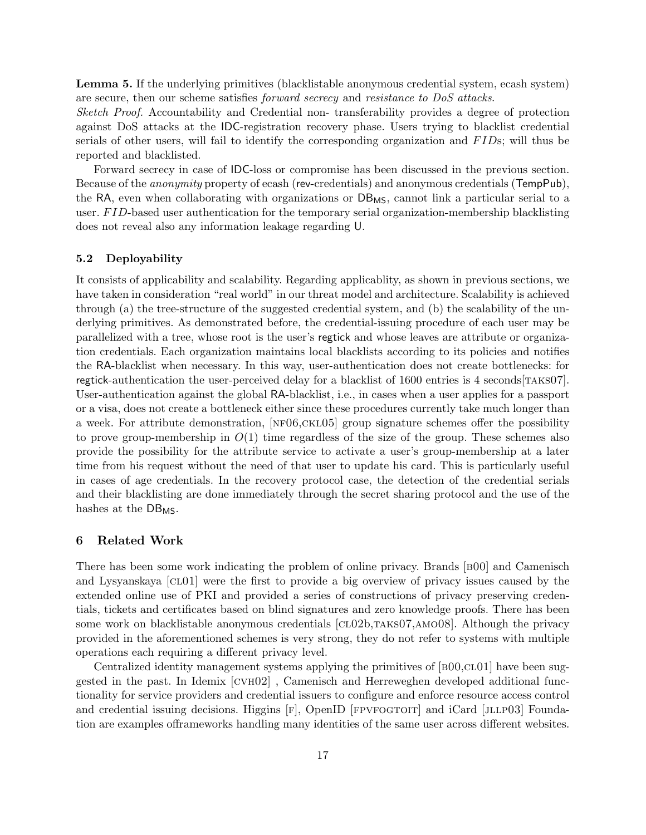Lemma 5. If the underlying primitives (blacklistable anonymous credential system, ecash system) are secure, then our scheme satisfies forward secrecy and resistance to DoS attacks.

Sketch Proof. Accountability and Credential non- transferability provides a degree of protection against DoS attacks at the IDC-registration recovery phase. Users trying to blacklist credential serials of other users, will fail to identify the corresponding organization and FIDs; will thus be reported and blacklisted.

Forward secrecy in case of IDC-loss or compromise has been discussed in the previous section. Because of the anonymity property of ecash (rev-credentials) and anonymous credentials (TempPub), the RA, even when collaborating with organizations or  $DB_{MS}$ , cannot link a particular serial to a user. FID-based user authentication for the temporary serial organization-membership blacklisting does not reveal also any information leakage regarding U.

#### 5.2 Deployability

It consists of applicability and scalability. Regarding applicablity, as shown in previous sections, we have taken in consideration "real world" in our threat model and architecture. Scalability is achieved through (a) the tree-structure of the suggested credential system, and (b) the scalability of the underlying primitives. As demonstrated before, the credential-issuing procedure of each user may be parallelized with a tree, whose root is the user's regtick and whose leaves are attribute or organization credentials. Each organization maintains local blacklists according to its policies and notifies the RA-blacklist when necessary. In this way, user-authentication does not create bottlenecks: for regtick-authentication the user-perceived delay for a blacklist of 1600 entries is 4 seconds [TAKS07]. User-authentication against the global RA-blacklist, i.e., in cases when a user applies for a passport or a visa, does not create a bottleneck either since these procedures currently take much longer than a week. For attribute demonstration, [NF06,CKL05] group signature schemes offer the possibility to prove group-membership in  $O(1)$  time regardless of the size of the group. These schemes also provide the possibility for the attribute service to activate a user's group-membership at a later time from his request without the need of that user to update his card. This is particularly useful in cases of age credentials. In the recovery protocol case, the detection of the credential serials and their blacklisting are done immediately through the secret sharing protocol and the use of the hashes at the  $DB_{MS}$ .

## 6 Related Work

There has been some work indicating the problem of online privacy. Brands [b00] and Camenisch and Lysyanskaya [CL01] were the first to provide a big overview of privacy issues caused by the extended online use of PKI and provided a series of constructions of privacy preserving credentials, tickets and certificates based on blind signatures and zero knowledge proofs. There has been some work on blacklistable anonymous credentials [CL02b,TAKS07,AMO08]. Although the privacy provided in the aforementioned schemes is very strong, they do not refer to systems with multiple operations each requiring a different privacy level.

Centralized identity management systems applying the primitives of  $[BOQCD01]$  have been suggested in the past. In Idemix [cvh02] , Camenisch and Herreweghen developed additional functionality for service providers and credential issuers to configure and enforce resource access control and credential issuing decisions. Higgins  $[F]$ , OpenID [FPVFOGTOIT] and iCard [JLLP03] Foundation are examples offrameworks handling many identities of the same user across different websites.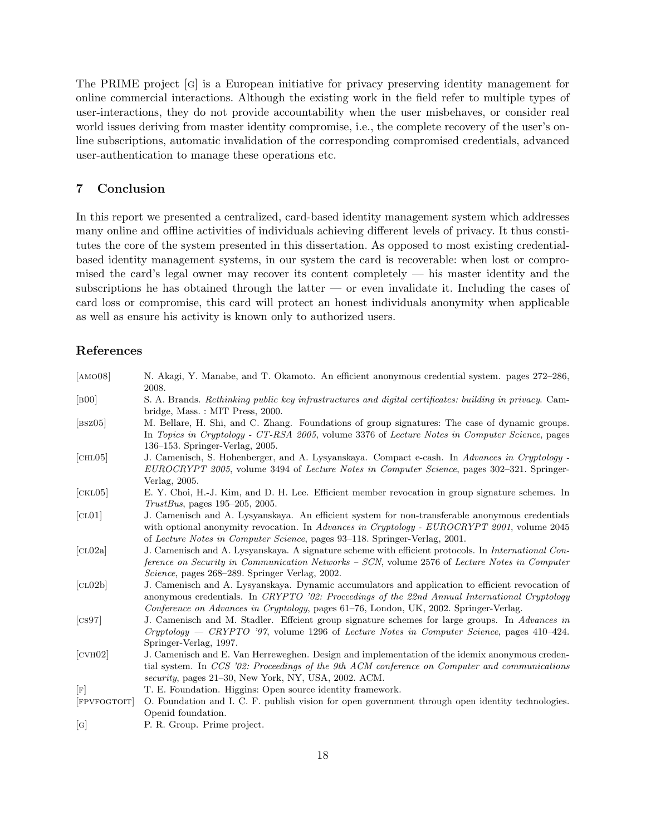The PRIME project [g] is a European initiative for privacy preserving identity management for online commercial interactions. Although the existing work in the field refer to multiple types of user-interactions, they do not provide accountability when the user misbehaves, or consider real world issues deriving from master identity compromise, i.e., the complete recovery of the user's online subscriptions, automatic invalidation of the corresponding compromised credentials, advanced user-authentication to manage these operations etc.

# 7 Conclusion

In this report we presented a centralized, card-based identity management system which addresses many online and offline activities of individuals achieving different levels of privacy. It thus constitutes the core of the system presented in this dissertation. As opposed to most existing credentialbased identity management systems, in our system the card is recoverable: when lost or compromised the card's legal owner may recover its content completely — his master identity and the subscriptions he has obtained through the latter — or even invalidate it. Including the cases of card loss or compromise, this card will protect an honest individuals anonymity when applicable as well as ensure his activity is known only to authorized users.

# References

| [AMO08]                                  | N. Akagi, Y. Manabe, and T. Okamoto. An efficient anonymous credential system. pages 272–286,<br>2008.                                                                                                                                                                                     |
|------------------------------------------|--------------------------------------------------------------------------------------------------------------------------------------------------------------------------------------------------------------------------------------------------------------------------------------------|
| [800]                                    | S. A. Brands. Rethinking public key infrastructures and digital certificates: building in privacy. Cam-<br>bridge, Mass.: MIT Press, 2000.                                                                                                                                                 |
| [ <b>BSZ</b> <sub>05</sub> ]             | M. Bellare, H. Shi, and C. Zhang. Foundations of group signatures: The case of dynamic groups.<br>In Topics in Cryptology - CT-RSA 2005, volume 3376 of Lecture Notes in Computer Science, pages<br>$136-153$ . Springer-Verlag, 2005.                                                     |
| [CHL05]                                  | J. Camenisch, S. Hohenberger, and A. Lysyanskaya. Compact e-cash. In Advances in Cryptology -<br>EUROCRYPT 2005, volume 3494 of Lecture Notes in Computer Science, pages 302–321. Springer-<br>Verlag, 2005.                                                                               |
| [ <b>CKL</b> 05]                         | E. Y. Choi, H.-J. Kim, and D. H. Lee. Efficient member revocation in group signature schemes. In<br>$TrustBus$ , pages 195–205, 2005.                                                                                                                                                      |
| [CL01]                                   | J. Camenisch and A. Lysyanskaya. An efficient system for non-transferable anonymous credentials<br>with optional anonymity revocation. In Advances in Cryptology - EUROCRYPT 2001, volume 2045<br>of Lecture Notes in Computer Science, pages 93–118. Springer-Verlag, 2001.               |
| [CL02a]                                  | J. Camenisch and A. Lysyanskaya. A signature scheme with efficient protocols. In International Con-<br>ference on Security in Communication Networks - SCN, volume 2576 of Lecture Notes in Computer<br><i>Science</i> , pages 268–289. Springer Verlag, 2002.                             |
| [CL02b]                                  | J. Camenisch and A. Lysyanskaya. Dynamic accumulators and application to efficient revocation of<br>anonymous credentials. In CRYPTO '02: Proceedings of the 22nd Annual International Cryptology<br>Conference on Advances in Cryptology, pages 61–76, London, UK, 2002. Springer-Verlag. |
| $\left[\cos 97\right]$                   | J. Camenisch and M. Stadler. Effcient group signature schemes for large groups. In Advances in<br>$Cryptography - CRYPTO$ '97, volume 1296 of Lecture Notes in Computer Science, pages 410–424.<br>Springer-Verlag, 1997.                                                                  |
| [ <b>CV</b> <sub>H</sub> <sub>02</sub> ] | J. Camenisch and E. Van Herreweghen. Design and implementation of the idemix anonymous creden-<br>tial system. In CCS '02: Proceedings of the 9th ACM conference on Computer and communications<br>security, pages 21-30, New York, NY, USA, 2002. ACM.                                    |
| $\lceil \mathbf{F} \rceil$               | T. E. Foundation. Higgins: Open source identity framework.                                                                                                                                                                                                                                 |
| [FPVFOGTOIT]                             | O. Foundation and I. C. F. publish vision for open government through open identity technologies.<br>Openid foundation.                                                                                                                                                                    |
| $[\mathrm{G}]$                           | P. R. Group. Prime project.                                                                                                                                                                                                                                                                |